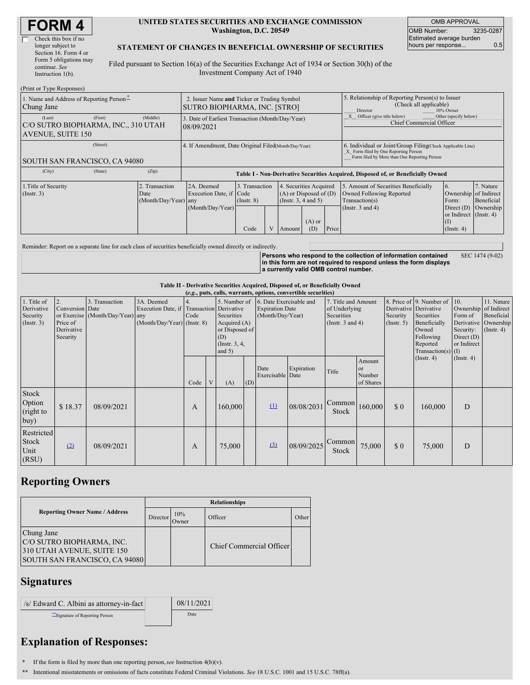| <b>FORM4</b> |  |
|--------------|--|
|--------------|--|

| Check this box if no   |
|------------------------|
| longer subject to      |
| Section 16. Form 4 or  |
| Form 5 obligations may |
| continue. See          |
| Instruction 1(b).      |

#### **UNITED STATES SECURITIES AND EXCHANGE COMMISSION Washington, D.C. 20549**

OMB APPROVAL OMB Number: 3235-0287 Estimated average burden hours per response... 0.5

### **STATEMENT OF CHANGES IN BENEFICIAL OWNERSHIP OF SECURITIES**

Filed pursuant to Section 16(a) of the Securities Exchange Act of 1934 or Section 30(h) of the Investment Company Act of 1940

| (Print or Type Responses)                                                 |          |                                                                                    |                                                           |                                           |  |                                                                                        |                                                                                                     |                                                                                                                                                    |                                                                                                             |                                                                                                           |                                      |
|---------------------------------------------------------------------------|----------|------------------------------------------------------------------------------------|-----------------------------------------------------------|-------------------------------------------|--|----------------------------------------------------------------------------------------|-----------------------------------------------------------------------------------------------------|----------------------------------------------------------------------------------------------------------------------------------------------------|-------------------------------------------------------------------------------------------------------------|-----------------------------------------------------------------------------------------------------------|--------------------------------------|
| 1. Name and Address of Reporting Person-<br>Chung Jane                    |          | 2. Issuer Name and Ticker or Trading Symbol<br><b>SUTRO BIOPHARMA, INC. [STRO]</b> |                                                           |                                           |  |                                                                                        | 5. Relationship of Reporting Person(s) to Issuer<br>(Check all applicable)<br>Director<br>10% Owner |                                                                                                                                                    |                                                                                                             |                                                                                                           |                                      |
| (Last)<br>C/O SUTRO BIOPHARMA, INC., 310 UTAH<br><b>AVENUE, SUITE 150</b> | (Middle) | 3. Date of Earliest Transaction (Month/Day/Year)<br>08/09/2021                     |                                                           |                                           |  |                                                                                        |                                                                                                     | Other (specify below)<br>Officer (give title below)<br>Chief Commercial Officer                                                                    |                                                                                                             |                                                                                                           |                                      |
| SOUTH SAN FRANCISCO, CA 94080                                             |          | 4. If Amendment, Date Original Filed (Month/Day/Year)                              |                                                           |                                           |  |                                                                                        |                                                                                                     | 6. Individual or Joint/Group Filing Check Applicable Line)<br>X Form filed by One Reporting Person<br>Form filed by More than One Reporting Person |                                                                                                             |                                                                                                           |                                      |
| (City)                                                                    | (State)  | (Zip)                                                                              |                                                           |                                           |  |                                                                                        |                                                                                                     | Table I - Non-Derivative Securities Acquired, Disposed of, or Beneficially Owned                                                                   |                                                                                                             |                                                                                                           |                                      |
| 1. Title of Security<br>$($ Instr. 3 $)$                                  |          | 2. Transaction<br>Date<br>(Month/Day/Year) any                                     | 2A. Deemed<br>Execution Date, if Code<br>(Month/Day/Year) | 3. Transaction<br>$($ Instr. $8)$<br>Code |  | 4. Securities Acquired<br>$(A)$ or Disposed of $(D)$<br>(Insert. 3, 4 and 5)<br>Amount | $(A)$ or<br>(D)                                                                                     | Price                                                                                                                                              | 5. Amount of Securities Beneficially<br>Owned Following Reported<br>Transaction(s)<br>(Instr. $3$ and $4$ ) | 6.<br>Ownership of Indirect<br>Form:<br>Direct $(D)$<br>or Indirect (Instr. 4)<br>(I)<br>$($ Instr. 4 $)$ | 7. Nature<br>Beneficial<br>Ownership |

Reminder: Report on a separate line for each class of securities beneficially owned directly or indirectly.

**Persons who respond to the collection of information contained in this form are not required to respond unless the form displays a currently valid OMB control number.** SEC 1474 (9-02)

#### **Table II - Derivative Securities Acquired, Disposed of, or Beneficially Owned**

| (e.g., puts, calls, warrants, options, convertible securities) |                                                             |                                                    |                                                                                        |            |              |                                                                                                    |     |                          |                                                                       |                 |                                                                                    |     |                                                                                                                                           |                                                                                     |                                                                      |
|----------------------------------------------------------------|-------------------------------------------------------------|----------------------------------------------------|----------------------------------------------------------------------------------------|------------|--------------|----------------------------------------------------------------------------------------------------|-----|--------------------------|-----------------------------------------------------------------------|-----------------|------------------------------------------------------------------------------------|-----|-------------------------------------------------------------------------------------------------------------------------------------------|-------------------------------------------------------------------------------------|----------------------------------------------------------------------|
| 1. Title of<br>Derivative<br>Security<br>$($ Instr. 3 $)$      | 2.<br>Conversion Date<br>Price of<br>Derivative<br>Security | 3. Transaction<br>or Exercise (Month/Day/Year) any | 3A. Deemed<br>Execution Date, if Transaction Derivative<br>(Month/Day/Year) (Instr. 8) | 4.<br>Code |              | 5. Number of<br>Securities<br>Acquired (A)<br>or Disposed of<br>(D)<br>(Instr. $3, 4,$<br>and $5)$ |     |                          | 6. Date Exercisable and<br><b>Expiration Date</b><br>(Month/Day/Year) |                 | 7. Title and Amount<br>of Underlying<br><b>Securities</b><br>(Instr. $3$ and $4$ ) |     | 8. Price of 9. Number of<br>Derivative Derivative<br>Securities<br>Beneficially<br>Owned<br>Following<br>Reported<br>Transaction(s) $(I)$ | 10.<br>Ownership of Indirect<br>Form of<br>Security:<br>Direct $(D)$<br>or Indirect | 11. Nature<br>Beneficial<br>Derivative Ownership<br>$($ Instr. 4 $)$ |
|                                                                |                                                             |                                                    |                                                                                        | Code       | $\mathbf{V}$ | (A)                                                                                                | (D) | Date<br>Exercisable Date | Expiration                                                            | Title           | Amount<br>or<br>Number<br>of Shares                                                |     | $($ Instr. 4 $)$                                                                                                                          | $($ Instr. 4 $)$                                                                    |                                                                      |
| Stock<br>Option<br>(right to<br>buy)                           | \$18.37                                                     | 08/09/2021                                         |                                                                                        | А          |              | 160,000                                                                                            |     | $\Omega$                 | 08/08/2031                                                            | Common<br>Stock | 160,000                                                                            | \$0 | 160,000                                                                                                                                   | D                                                                                   |                                                                      |
| Restricted<br><b>Stock</b><br>Unit<br>(RSU)                    | (2)                                                         | 08/09/2021                                         |                                                                                        | A          |              | 75,000                                                                                             |     | (3)                      | 08/09/2025                                                            | Common<br>Stock | 75,000                                                                             | \$0 | 75,000                                                                                                                                    | D                                                                                   |                                                                      |

## **Reporting Owners**

|                                                                                                        | <b>Relationships</b> |              |                          |       |  |  |  |
|--------------------------------------------------------------------------------------------------------|----------------------|--------------|--------------------------|-------|--|--|--|
| <b>Reporting Owner Name / Address</b>                                                                  | Director             | 10%<br>Owner | Officer                  | Other |  |  |  |
| Chung Jane<br>C/O SUTRO BIOPHARMA, INC.<br>310 UTAH AVENUE, SUITE 150<br>SOUTH SAN FRANCISCO, CA 94080 |                      |              | Chief Commercial Officer |       |  |  |  |

### **Signatures**

| /s/ Edward C. Albini as attorney-in-fact | 08/11/2021 |
|------------------------------------------|------------|
| Signature of Reporting Person            | Date       |

# **Explanation of Responses:**

- **\*** If the form is filed by more than one reporting person,*see* Instruction 4(b)(v).
- **\*\*** Intentional misstatements or omissions of facts constitute Federal Criminal Violations. *See* 18 U.S.C. 1001 and 15 U.S.C. 78ff(a).